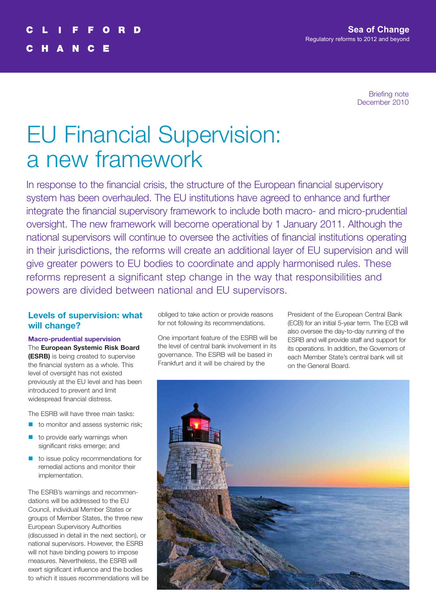Briefing note December 2010

# EU Financial Supervision: a new framework

In response to the financial crisis, the structure of the European financial supervisory system has been overhauled. The EU institutions have agreed to enhance and further integrate the financial supervisory framework to include both macro- and micro-prudential oversight. The new framework will become operational by 1 January 2011. Although the national supervisors will continue to oversee the activities of financial institutions operating in their jurisdictions, the reforms will create an additional layer of EU supervision and will give greater powers to EU bodies to coordinate and apply harmonised rules. These reforms represent a significant step change in the way that responsibilities and powers are divided between national and EU supervisors.

# **Levels of supervision: what will change?**

**Macro-prudential supervision** The **European Systemic Risk Board (ESRB)** is being created to supervise the financial system as a whole. This level of oversight has not existed previously at the EU level and has been introduced to prevent and limit

The ESRB will have three main tasks:

widespread financial distress.

- $\blacksquare$  to monitor and assess systemic risk;
- to provide early warnings when significant risks emerge; and
- $\blacksquare$  to issue policy recommendations for remedial actions and monitor their implementation.

The ESRB's warnings and recommendations will be addressed to the EU Council, individual Member States or groups of Member States, the three new European Supervisory Authorities (discussed in detail in the next section), or national supervisors. However, the ESRB will not have binding powers to impose measures. Nevertheless, the ESRB will exert significant influence and the bodies to which it issues recommendations will be

obliged to take action or provide reasons for not following its recommendations.

One important feature of the ESRB will be the level of central bank involvement in its governance. The ESRB will be based in Frankfurt and it will be chaired by the

President of the European Central Bank (ECB) for an initial 5-year term. The ECB will also oversee the day-to-day running of the ESRB and will provide staff and support for its operations. In addition, the Governors of each Member State's central bank will sit on the General Board.

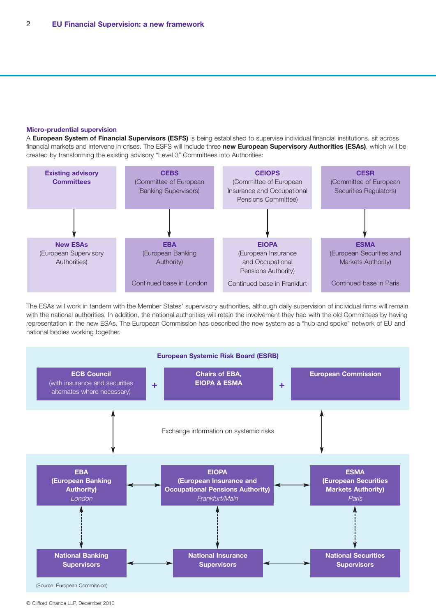#### **Micro-prudential supervision**

A **European System of Financial Supervisors (ESFS)** is being established to supervise individual financial institutions, sit across financial markets and intervene in crises. The ESFS will include three **new European Supervisory Authorities (ESAs)**, which will be created by transforming the existing advisory "Level 3" Committees into Authorities:



The ESAs will work in tandem with the Member States' supervisory authorities, although daily supervision of individual firms will remain with the national authorities. In addition, the national authorities will retain the involvement they had with the old Committees by having representation in the new ESAs. The European Commission has described the new system as a "hub and spoke" network of EU and national bodies working together.



<sup>©</sup> Clifford Chance LLP, December 2010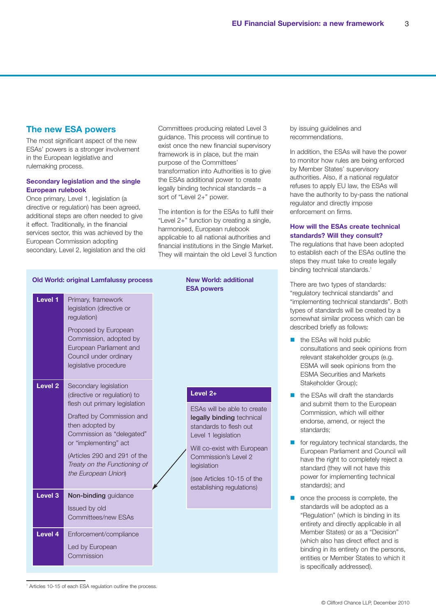# **The new ESA powers**

The most significant aspect of the new ESAs' powers is a stronger involvement in the European legislative and rulemaking process.

# **Secondary legislation and the single European rulebook**

Once primary, Level 1, legislation (a directive or regulation) has been agreed, additional steps are often needed to give it effect. Traditionally, in the financial services sector, this was achieved by the European Commission adopting secondary, Level 2, legislation and the old

**Old World: original Lamfalussy process** 

Committees producing related Level 3 guidance. This process will continue to exist once the new financial supervisory framework is in place, but the main purpose of the Committees' transformation into Authorities is to give the ESAs additional power to create legally binding technical standards – a sort of "Level 2+" power.

The intention is for the ESAs to fulfil their "Level 2+" function by creating a single, harmonised, European rulebook applicable to all national authorities and financial institutions in the Single Market. They will maintain the old Level 3 function

|                    |                                                                                                                                                                                                                                                                                     | <b>ESA</b> po                                                                                               |
|--------------------|-------------------------------------------------------------------------------------------------------------------------------------------------------------------------------------------------------------------------------------------------------------------------------------|-------------------------------------------------------------------------------------------------------------|
| Level 1            | Primary, framework<br>legislation (directive or<br>regulation)<br>Proposed by European<br>Commission, adopted by<br>European Parliament and<br>Council under ordinary<br>legislative procedure                                                                                      |                                                                                                             |
| Level <sub>2</sub> | Secondary legislation<br>(directive or regulation) to<br>flesh out primary legislation<br>Drafted by Commission and<br>then adopted by<br>Commission as "delegated"<br>or "implementing" act<br>(Articles 290 and 291 of the<br>Treaty on the Functioning of<br>the European Union) | <b>Level</b><br><b>ESAs</b><br>legall<br>stand<br>Level<br>Will co<br>Comn<br>legisla<br>(see $A$<br>establ |
| Level <sub>3</sub> | Non-binding guidance<br>Issued by old                                                                                                                                                                                                                                               |                                                                                                             |
| Level 4            | Committees/new ESAs<br>Enforcement/compliance<br>Led by European<br>Commission                                                                                                                                                                                                      |                                                                                                             |

| <b>New World: additional</b> |  |  |  |
|------------------------------|--|--|--|
| <b>ESA powers</b>            |  |  |  |
|                              |  |  |  |
|                              |  |  |  |

# **Level 2+**

will be able to create y binding technical ards to flesh out 1 legislation

b-exist with European Commission's Level 2  $t$ ion

orticles 10-15 of the ishing regulations)

by issuing guidelines and recommendations.

In addition, the ESAs will have the power to monitor how rules are being enforced by Member States' supervisory authorities. Also, if a national regulator refuses to apply EU law, the ESAs will have the authority to by-pass the national regulator and directly impose enforcement on firms.

# **How will the ESAs create technical standards? Will they consult?**

The regulations that have been adopted to establish each of the ESAs outline the steps they must take to create legally binding technical standards. 1

There are two types of standards: "regulatory technical standards" and "implementing technical standards". Both types of standards will be created by a somewhat similar process which can be described briefly as follows:

- $\blacksquare$  the ESAs will hold public consultations and seek opinions from relevant stakeholder groups (e.g. ESMA will seek opinions from the ESMA Securities and Markets Stakeholder Group);
- $\blacksquare$  the ESAs will draft the standards and submit them to the European Commission, which will either endorse, amend, or reject the standards;
- $\blacksquare$  for regulatory technical standards, the European Parliament and Council will have the right to completely reject a standard (they will not have this power for implementing technical standards); and
- n once the process is complete, the standards will be adopted as a "Regulation" (which is binding in its entirety and directly applicable in all Member States) or as a "Decision" (which also has direct effect and is binding in its entirety on the persons, entities or Member States to which it is specifically addressed).

<sup>1</sup> Articles 10-15 of each ESA regulation outline the process.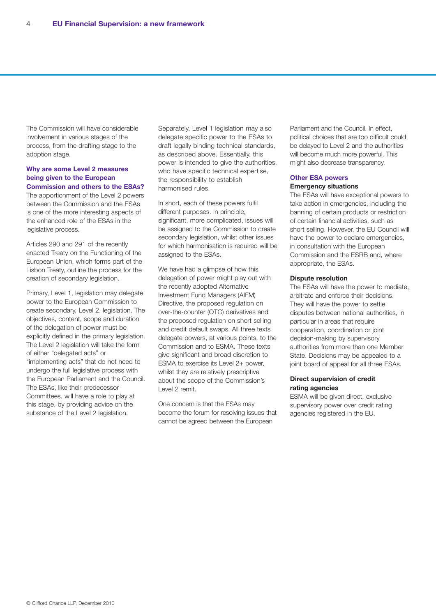The Commission will have considerable involvement in various stages of the process, from the drafting stage to the adoption stage.

## **Why are some Level 2 measures being given to the European Commission and others to the ESAs?**

The apportionment of the Level 2 powers between the Commission and the ESAs is one of the more interesting aspects of the enhanced role of the ESAs in the legislative process.

Articles 290 and 291 of the recently enacted Treaty on the Functioning of the European Union, which forms part of the Lisbon Treaty, outline the process for the creation of secondary legislation.

Primary, Level 1, legislation may delegate power to the European Commission to create secondary, Level 2, legislation. The objectives, content, scope and duration of the delegation of power must be explicitly defined in the primary legislation. The Level 2 legislation will take the form of either "delegated acts" or "implementing acts" that do not need to undergo the full legislative process with the European Parliament and the Council. The ESAs, like their predecessor Committees, will have a role to play at this stage, by providing advice on the substance of the Level 2 legislation.

Separately, Level 1 legislation may also delegate specific power to the ESAs to draft legally binding technical standards, as described above. Essentially, this power is intended to give the authorities, who have specific technical expertise, the responsibility to establish harmonised rules.

In short, each of these powers fulfil different purposes. In principle, significant, more complicated, issues will be assigned to the Commission to create secondary legislation, whilst other issues for which harmonisation is required will be assigned to the ESAs.

We have had a glimpse of how this delegation of power might play out with the recently adopted Alternative Investment Fund Managers (AIFM) Directive, the proposed regulation on over-the-counter (OTC) derivatives and the proposed regulation on short selling and credit default swaps. All three texts delegate powers, at various points, to the Commission and to ESMA. These texts give significant and broad discretion to ESMA to exercise its Level 2+ power, whilst they are relatively prescriptive about the scope of the Commission's Level 2 remit.

One concern is that the ESAs may become the forum for resolving issues that cannot be agreed between the European

Parliament and the Council. In effect, political choices that are too difficult could be delayed to Level 2 and the authorities will become much more powerful. This might also decrease transparency.

### **Other ESA powers Emergency situations**

The ESAs will have exceptional powers to take action in emergencies, including the banning of certain products or restriction of certain financial activities, such as short selling. However, the EU Council will have the power to declare emergencies, in consultation with the European Commission and the ESRB and, where appropriate, the ESAs.

#### **Dispute resolution**

The ESAs will have the power to mediate, arbitrate and enforce their decisions. They will have the power to settle disputes between national authorities, in particular in areas that require cooperation, coordination or joint decision-making by supervisory authorities from more than one Member State. Decisions may be appealed to a joint board of appeal for all three ESAs.

## **Direct supervision of credit rating agencies**

ESMA will be given direct, exclusive supervisory power over credit rating agencies registered in the EU.